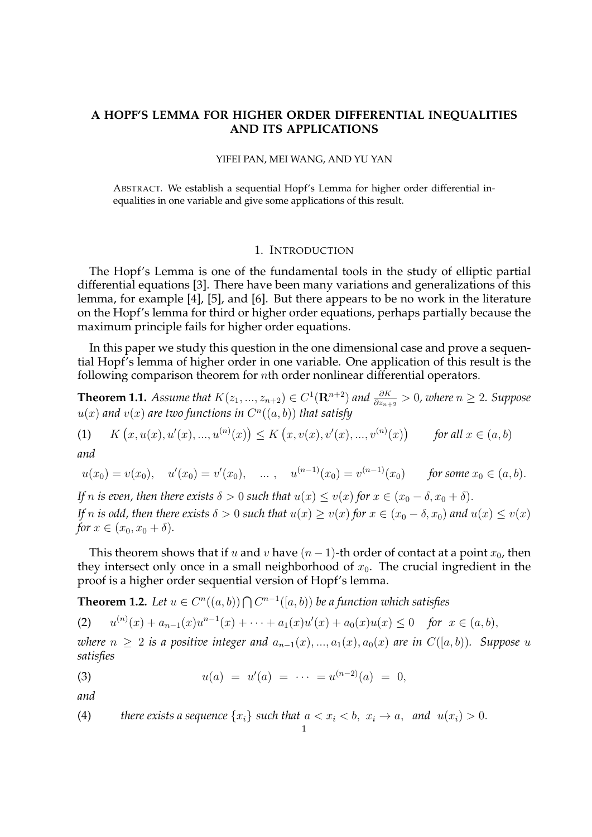# **A HOPF'S LEMMA FOR HIGHER ORDER DIFFERENTIAL INEQUALITIES AND ITS APPLICATIONS**

#### YIFEI PAN, MEI WANG, AND YU YAN

ABSTRACT. We establish a sequential Hopf's Lemma for higher order differential inequalities in one variable and give some applications of this result.

#### 1. INTRODUCTION

The Hopf's Lemma is one of the fundamental tools in the study of elliptic partial differential equations [3]. There have been many variations and generalizations of this lemma, for example [4], [5], and [6]. But there appears to be no work in the literature on the Hopf's lemma for third or higher order equations, perhaps partially because the maximum principle fails for higher order equations.

In this paper we study this question in the one dimensional case and prove a sequential Hopf's lemma of higher order in one variable. One application of this result is the following comparison theorem for nth order nonlinear differential operators.

**Theorem 1.1.** *Assume that*  $K(z_1,...,z_{n+2}) \in C^1(\mathbf{R}^{n+2})$  and  $\frac{\partial K}{\partial z_{n+2}} > 0$ , where  $n \ge 2$ . Suppose  $u(x)$  and  $v(x)$  are two functions in  $C^n((a,b))$  that satisfy

(1)  $K(x, u(x), u'(x), ..., u^{(n)}(x)) \le K(x, v(x), v'(x), ..., v^{(n)}(x))$  for all  $x \in (a, b)$ 

*and*

$$
u(x_0) = v(x_0),
$$
  $u'(x_0) = v'(x_0),$  ...,  $u^{(n-1)}(x_0) = v^{(n-1)}(x_0)$  for some  $x_0 \in (a, b)$ .

*If* n *is even, then there exists*  $\delta > 0$  *such that*  $u(x) \le v(x)$  *for*  $x \in (x_0 - \delta, x_0 + \delta)$ *. If* n *is odd, then there exists*  $\delta > 0$  *such that*  $u(x) \ge v(x)$  *for*  $x \in (x_0 - \delta, x_0)$  *and*  $u(x) \le v(x)$ *for*  $x \in (x_0, x_0 + \delta)$ *.* 

This theorem shows that if u and v have  $(n-1)$ -th order of contact at a point  $x_0$ , then they intersect only once in a small neighborhood of  $x_0$ . The crucial ingredient in the proof is a higher order sequential version of Hopf's lemma.

**Theorem 1.2.** Let  $u \in C^n((a, b)) \bigcap C^{n-1}([a, b))$  be a function which satisfies

(2) 
$$
u^{(n)}(x) + a_{n-1}(x)u^{n-1}(x) + \cdots + a_1(x)u'(x) + a_0(x)u(x) \le 0 \text{ for } x \in (a, b),
$$

*where*  $n \geq 2$  *is a positive integer and*  $a_{n-1}(x),...,a_1(x),a_0(x)$  *are in*  $C([a, b))$ *. Suppose* u *satisfies*

(3) 
$$
u(a) = u'(a) = \cdots = u^{(n-2)}(a) = 0,
$$

*and*

(4) there exists a sequence 
$$
\{x_i\}
$$
 such that  $a < x_i < b, x_i \rightarrow a$ , and  $u(x_i) > 0$ .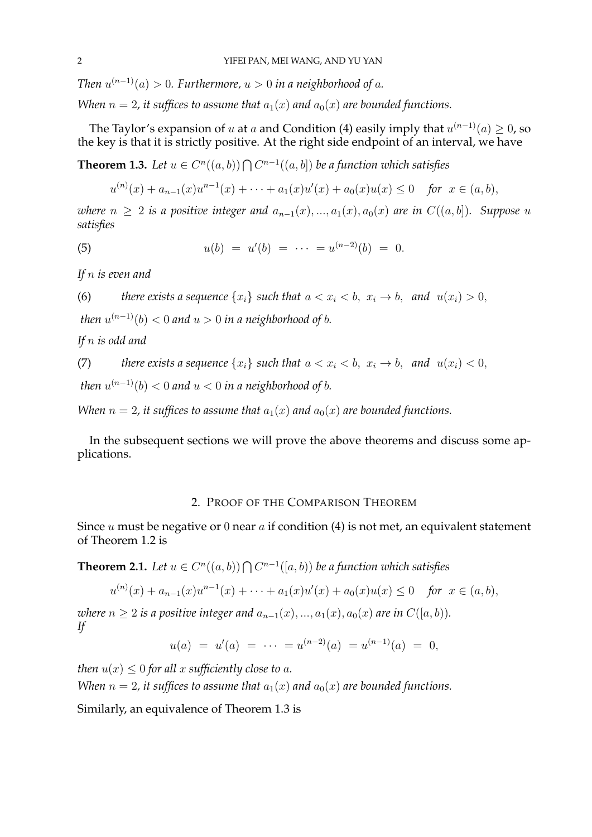*Then*  $u^{(n-1)}(a) > 0$ . Furthermore,  $u > 0$  in a neighborhood of a.

*When*  $n = 2$ , it suffices to assume that  $a_1(x)$  and  $a_0(x)$  are bounded functions.

The Taylor's expansion of  $u$  at  $a$  and Condition (4) easily imply that  $u^{(n-1)}(a) \geq 0$ , so the key is that it is strictly positive. At the right side endpoint of an interval, we have

**Theorem 1.3.** Let  $u \in C^n((a, b)) \bigcap C^{n-1}((a, b])$  be a function which satisfies

$$
u^{(n)}(x) + a_{n-1}(x)u^{n-1}(x) + \cdots + a_1(x)u'(x) + a_0(x)u(x) \le 0 \quad \text{for } x \in (a, b),
$$

*where*  $n \geq 2$  *is a positive integer and*  $a_{n-1}(x),...,a_1(x),a_0(x)$  *are in*  $C((a, b])$ *. Suppose u satisfies*

(5) 
$$
u(b) = u'(b) = \cdots = u^{(n-2)}(b) = 0.
$$

*If* n *is even and*

(6) *there exists a sequence* 
$$
\{x_i\}
$$
 *such that*  $a < x_i < b$ ,  $x_i \rightarrow b$ , *and*  $u(x_i) > 0$ ,

*then*  $u^{(n-1)}(b) < 0$  *and*  $u > 0$  *in a neighborhood of*  $b$ *.* 

*If* n *is odd and*

(7) there exists a sequence 
$$
\{x_i\}
$$
 such that  $a < x_i < b, x_i \rightarrow b, \text{ and } u(x_i) < 0,$ 

*then*  $u^{(n-1)}(b) < 0$  *and*  $u < 0$  *in a neighborhood of*  $b$ *.* 

*When*  $n = 2$ , it suffices to assume that  $a_1(x)$  and  $a_0(x)$  are bounded functions.

In the subsequent sections we will prove the above theorems and discuss some applications.

#### 2. PROOF OF THE COMPARISON THEOREM

Since u must be negative or 0 near  $a$  if condition (4) is not met, an equivalent statement of Theorem 1.2 is

**Theorem 2.1.** Let  $u \in C^n((a, b)) \bigcap C^{n-1}([a, b))$  be a function which satisfies

$$
u^{(n)}(x) + a_{n-1}(x)u^{n-1}(x) + \cdots + a_1(x)u'(x) + a_0(x)u(x) \le 0 \quad \text{for } x \in (a, b),
$$

*where*  $n \geq 2$  *is a positive integer and*  $a_{n-1}(x), ..., a_1(x), a_0(x)$  *are in*  $C([a, b))$ *. If*

$$
u(a) = u'(a) = \cdots = u^{(n-2)}(a) = u^{(n-1)}(a) = 0,
$$

*then*  $u(x) \leq 0$  *for all* x *sufficiently close to a.* 

*When*  $n = 2$ , it suffices to assume that  $a_1(x)$  and  $a_0(x)$  are bounded functions.

Similarly, an equivalence of Theorem 1.3 is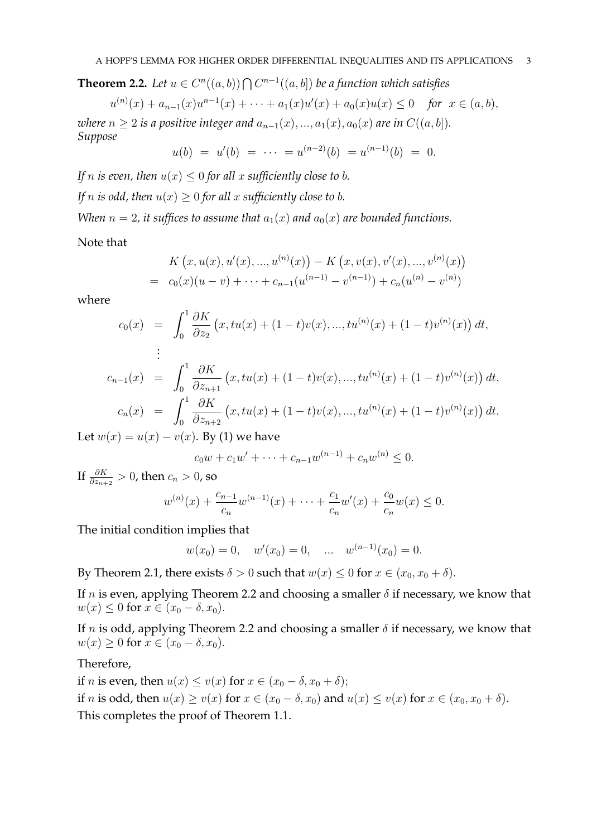**Theorem 2.2.** Let  $u \in C^n((a, b)) \bigcap C^{n-1}((a, b])$  be a function which satisfies

$$
u^{(n)}(x) + a_{n-1}(x)u^{n-1}(x) + \cdots + a_1(x)u'(x) + a_0(x)u(x) \le 0 \quad \text{for } x \in (a, b),
$$

*where*  $n \geq 2$  *is a positive integer and*  $a_{n-1}(x), ..., a_1(x), a_0(x)$  *are in*  $C((a, b]).$ *Suppose*

$$
u(b) = u'(b) = \cdots = u^{(n-2)}(b) = u^{(n-1)}(b) = 0.
$$

*If n is even, then*  $u(x) \leq 0$  *for all x sufficiently close to b.* 

*If n is odd, then*  $u(x) \geq 0$  *for all x sufficiently close to b.* 

*When*  $n = 2$ , it suffices to assume that  $a_1(x)$  and  $a_0(x)$  are bounded functions.

Note that

$$
K(x, u(x), u'(x), ..., u^{(n)}(x)) - K(x, v(x), v'(x), ..., v^{(n)}(x))
$$
  
=  $c_0(x)(u - v) + ... + c_{n-1}(u^{(n-1)} - v^{(n-1)}) + c_n(u^{(n)} - v^{(n)})$ 

where

$$
c_0(x) = \int_0^1 \frac{\partial K}{\partial z_2} (x, tu(x) + (1-t)v(x), ..., tu^{(n)}(x) + (1-t)v^{(n)}(x)) dt,
$$
  
...

$$
c_{n-1}(x) = \int_0^1 \frac{\partial K}{\partial z_{n+1}} (x, tu(x) + (1-t)v(x), ..., tu^{(n)}(x) + (1-t)v^{(n)}(x)) dt,
$$
  
\n
$$
c_n(x) = \int_0^1 \frac{\partial K}{\partial z_{n+2}} (x, tu(x) + (1-t)v(x), ..., tu^{(n)}(x) + (1-t)v^{(n)}(x)) dt.
$$

Let  $w(x) = u(x) - v(x)$ . By (1) we have

$$
c_0w + c_1w' + \dots + c_{n-1}w^{(n-1)} + c_nw^{(n)} \le 0.
$$

If  $\frac{\partial K}{\partial z_{n+2}}>0$ , then  $c_n>0$ , so

$$
w^{(n)}(x) + \frac{c_{n-1}}{c_n}w^{(n-1)}(x) + \dots + \frac{c_1}{c_n}w'(x) + \frac{c_0}{c_n}w(x) \le 0.
$$

The initial condition implies that

$$
w(x_0) = 0
$$
,  $w'(x_0) = 0$ , ...,  $w^{(n-1)}(x_0) = 0$ .

By Theorem 2.1, there exists  $\delta > 0$  such that  $w(x) \leq 0$  for  $x \in (x_0, x_0 + \delta)$ .

If *n* is even, applying Theorem 2.2 and choosing a smaller  $\delta$  if necessary, we know that  $w(x) \leq 0$  for  $x \in (x_0 - \delta, x_0)$ .

If n is odd, applying Theorem 2.2 and choosing a smaller  $\delta$  if necessary, we know that  $w(x) \geq 0$  for  $x \in (x_0 - \delta, x_0)$ .

# Therefore,

if *n* is even, then  $u(x) \le v(x)$  for  $x \in (x_0 - \delta, x_0 + \delta);$ if *n* is odd, then  $u(x) \ge v(x)$  for  $x \in (x_0 - \delta, x_0)$  and  $u(x) \le v(x)$  for  $x \in (x_0, x_0 + \delta)$ . This completes the proof of Theorem 1.1.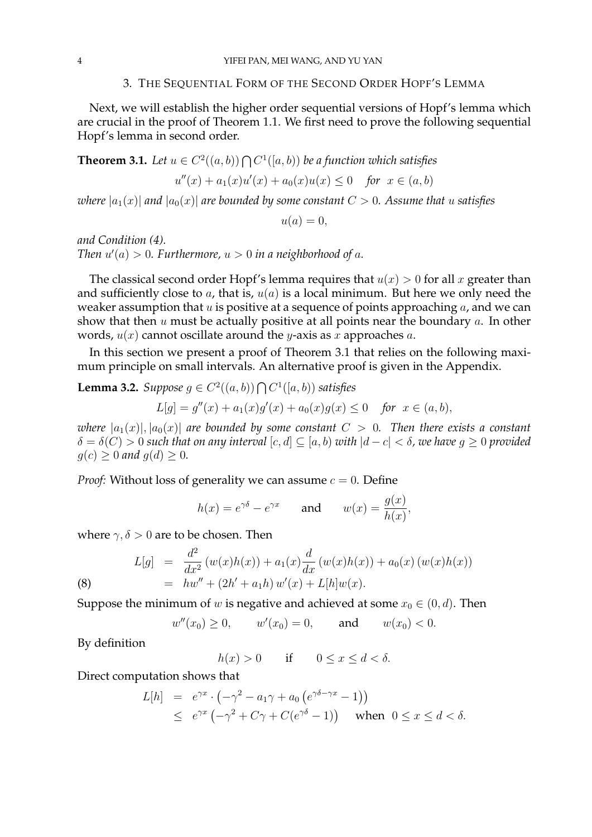### 3. THE SEQUENTIAL FORM OF THE SECOND ORDER HOPF'S LEMMA

Next, we will establish the higher order sequential versions of Hopf's lemma which are crucial in the proof of Theorem 1.1. We first need to prove the following sequential Hopf's lemma in second order.

**Theorem 3.1.** Let  $u \in C^2((a, b)) \bigcap C^1([a, b))$  be a function which satisfies

$$
u''(x) + a_1(x)u'(x) + a_0(x)u(x) \le 0 \quad \text{for } x \in (a, b)
$$

*where*  $|a_1(x)|$  *and*  $|a_0(x)|$  *are bounded by some constant*  $C > 0$ *. Assume that u satisfies* 

$$
u(a) = 0,
$$

*and Condition (4). Then*  $u'(a) > 0$ *. Furthermore,*  $u > 0$  *in a neighborhood of a.* 

The classical second order Hopf's lemma requires that  $u(x) > 0$  for all x greater than and sufficiently close to  $a$ , that is,  $u(a)$  is a local minimum. But here we only need the weaker assumption that  $u$  is positive at a sequence of points approaching  $a$ , and we can show that then  $u$  must be actually positive at all points near the boundary  $a$ . In other words,  $u(x)$  cannot oscillate around the *y*-axis as *x* approaches *a*.

In this section we present a proof of Theorem 3.1 that relies on the following maximum principle on small intervals. An alternative proof is given in the Appendix.

**Lemma 3.2.** *Suppose*  $g \in C^2((a, b))$  ∩  $C^1([a, b))$  *satisfies* 

$$
L[g] = g''(x) + a_1(x)g'(x) + a_0(x)g(x) \le 0 \quad \text{for } x \in (a, b),
$$

*where*  $|a_1(x)|, |a_0(x)|$  *are bounded by some constant*  $C > 0$ . Then there exists a constant  $\delta = \delta(C) > 0$  *such that on any interval*  $[c, d] \subseteq [a, b)$  *with*  $|d - c| < \delta$ , we have  $g \ge 0$  provided  $g(c) \geq 0$  and  $g(d) \geq 0$ .

*Proof:* Without loss of generality we can assume  $c = 0$ . Define

$$
h(x) = e^{\gamma \delta} - e^{\gamma x}
$$
 and  $w(x) = \frac{g(x)}{h(x)},$ 

where  $\gamma$ ,  $\delta > 0$  are to be chosen. Then

(8) 
$$
L[g] = \frac{d^2}{dx^2} (w(x)h(x)) + a_1(x)\frac{d}{dx} (w(x)h(x)) + a_0(x) (w(x)h(x))
$$

$$
= hw'' + (2h' + a_1h) w'(x) + L[h]w(x).
$$

Suppose the minimum of w is negative and achieved at some  $x_0 \in (0, d)$ . Then

$$
w''(x_0) \ge 0
$$
,  $w'(x_0) = 0$ , and  $w(x_0) < 0$ .

By definition

 $h(x) > 0$  if  $0 \le x \le d < \delta$ .

Direct computation shows that

$$
L[h] = e^{\gamma x} \cdot \left( -\gamma^2 - a_1 \gamma + a_0 \left( e^{\gamma \delta - \gamma x} - 1 \right) \right)
$$
  
\$\leq e^{\gamma x} \left( -\gamma^2 + C\gamma + C(e^{\gamma \delta} - 1) \right) \text{ when } 0 \leq x \leq d < \delta\$.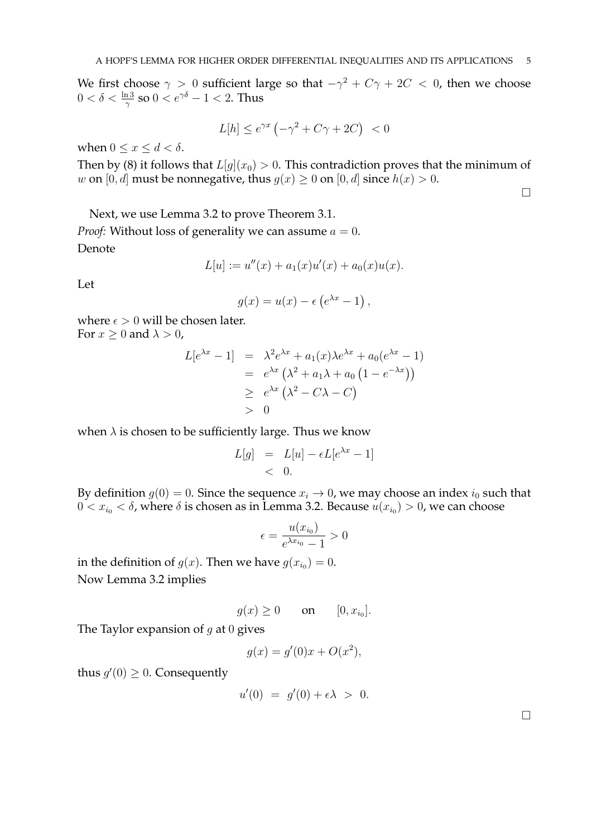We first choose  $\gamma > 0$  sufficient large so that  $-\gamma^2 + C\gamma + 2C < 0$ , then we choose  $0<\delta<\frac{\ln 3}{\gamma}$  so  $0< e^{\gamma \delta}-1 < 2.$  Thus

$$
L[h] \le e^{\gamma x} \left(-\gamma^2 + C\gamma + 2C\right) < 0
$$

when  $0 \leq x \leq d < \delta$ .

Then by (8) it follows that  $L[g](x_0) > 0$ . This contradiction proves that the minimum of w on [0, d] must be nonnegative, thus  $g(x) \ge 0$  on [0, d] since  $h(x) > 0$ .

 $\Box$ 

Next, we use Lemma 3.2 to prove Theorem 3.1. *Proof:* Without loss of generality we can assume  $a = 0$ . Denote

$$
L[u] := u''(x) + a_1(x)u'(x) + a_0(x)u(x).
$$

Let

$$
g(x) = u(x) - \epsilon \left(e^{\lambda x} - 1\right),\,
$$

where  $\epsilon > 0$  will be chosen later. For  $x \geq 0$  and  $\lambda > 0$ ,

$$
L[e^{\lambda x} - 1] = \lambda^2 e^{\lambda x} + a_1(x)\lambda e^{\lambda x} + a_0(e^{\lambda x} - 1)
$$
  
=  $e^{\lambda x} (\lambda^2 + a_1\lambda + a_0 (1 - e^{-\lambda x}))$   
 $\ge e^{\lambda x} (\lambda^2 - C\lambda - C)$   
> 0

when  $\lambda$  is chosen to be sufficiently large. Thus we know

$$
L[g] = L[u] - \epsilon L[e^{\lambda x} - 1]
$$
  
< 0.

By definition  $g(0) = 0$ . Since the sequence  $x_i \to 0$ , we may choose an index  $i_0$  such that  $0 < x_{i_0} < \delta$ , where  $\delta$  is chosen as in Lemma 3.2. Because  $u(x_{i_0}) > 0$ , we can choose

$$
\epsilon = \frac{u(x_{i_0})}{e^{\lambda x_{i_0}} - 1} > 0
$$

in the definition of  $g(x)$ . Then we have  $g(x_{i_0}) = 0$ . Now Lemma 3.2 implies

$$
g(x) \ge 0 \qquad \text{on} \qquad [0, x_{i_0}].
$$

The Taylor expansion of  $g$  at 0 gives

$$
g(x) = g'(0)x + O(x^2),
$$

thus  $g'(0) \geq 0$ . Consequently

$$
u'(0) = g'(0) + \epsilon \lambda > 0.
$$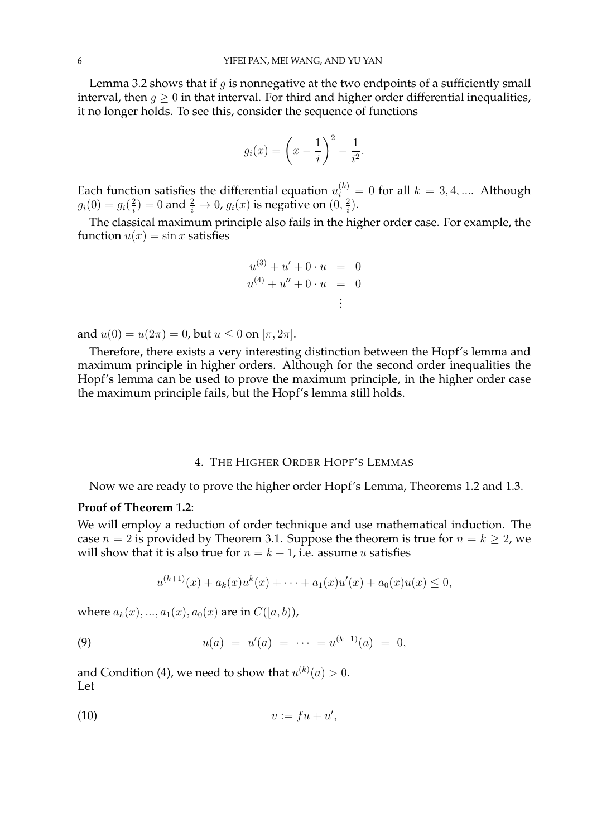Lemma 3.2 shows that if  $g$  is nonnegative at the two endpoints of a sufficiently small interval, then  $g \geq 0$  in that interval. For third and higher order differential inequalities, it no longer holds. To see this, consider the sequence of functions

$$
g_i(x) = \left(x - \frac{1}{i}\right)^2 - \frac{1}{i^2}.
$$

Each function satisfies the differential equation  $u_i^{(k)} = 0$  for all  $k = 3, 4, ....$  Although  $g_i(0) = g_i(\frac{2}{i})$  $\hat{p}^2_i) = 0$  and  $\frac{2}{i} \rightarrow 0$ ,  $g_i(x)$  is negative on  $(0, \frac{2}{i})$  $\frac{2}{i}$ .

The classical maximum principle also fails in the higher order case. For example, the function  $u(x) = \sin x$  satisfies

$$
u^{(3)} + u' + 0 \cdot u = 0
$$
  

$$
u^{(4)} + u'' + 0 \cdot u = 0
$$
  

$$
\vdots
$$

and  $u(0) = u(2\pi) = 0$ , but  $u \le 0$  on  $[\pi, 2\pi]$ .

Therefore, there exists a very interesting distinction between the Hopf's lemma and maximum principle in higher orders. Although for the second order inequalities the Hopf's lemma can be used to prove the maximum principle, in the higher order case the maximum principle fails, but the Hopf's lemma still holds.

# 4. THE HIGHER ORDER HOPF'S LEMMAS

Now we are ready to prove the higher order Hopf's Lemma, Theorems 1.2 and 1.3.

### **Proof of Theorem 1.2**:

We will employ a reduction of order technique and use mathematical induction. The case  $n = 2$  is provided by Theorem 3.1. Suppose the theorem is true for  $n = k \geq 2$ , we will show that it is also true for  $n = k + 1$ , i.e. assume u satisfies

$$
u^{(k+1)}(x) + a_k(x)u^k(x) + \cdots + a_1(x)u'(x) + a_0(x)u(x) \le 0,
$$

where  $a_k(x),..., a_1(x), a_0(x)$  are in  $C([a, b))$ ,

(9) 
$$
u(a) = u'(a) = \cdots = u^{(k-1)}(a) = 0,
$$

and Condition (4), we need to show that  $u^{(k)}(a)>0.$ Let

$$
(10) \t\t v:=fu+u',
$$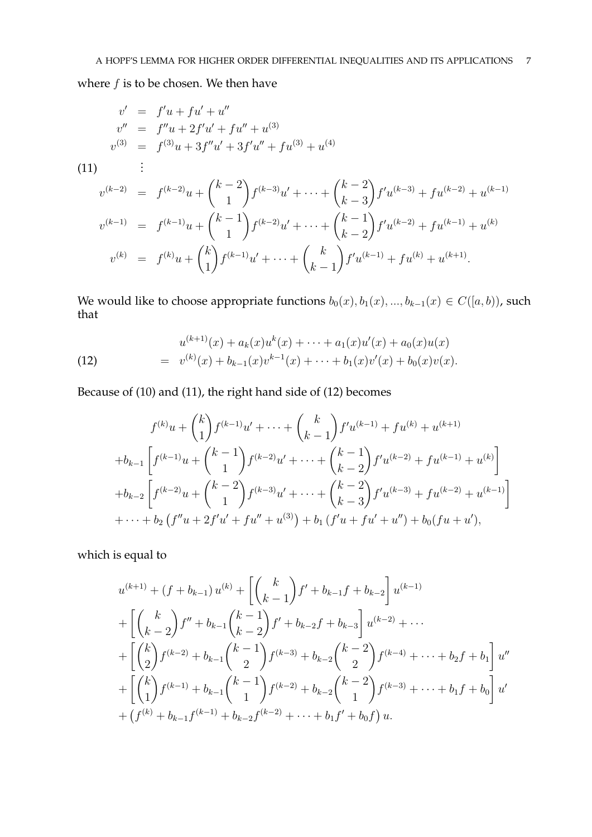where  $f$  is to be chosen. We then have

$$
v' = f'u + fu' + u''
$$
  
\n
$$
v'' = f''u + 2f'u' + fu'' + u^{(3)}
$$
  
\n
$$
v^{(3)} = f^{(3)}u + 3f''u' + 3f'u'' + fu^{(3)} + u^{(4)}
$$
  
\n(11)   
\n
$$
v^{(k-2)} = f^{(k-2)}u + \binom{k-2}{1}f^{(k-3)}u' + \dots + \binom{k-2}{k-3}f'u^{(k-3)} + fu^{(k-2)} + u^{(k-1)}
$$
  
\n
$$
v^{(k-1)} = f^{(k-1)}u + \binom{k-1}{1}f^{(k-2)}u' + \dots + \binom{k-1}{k-2}f'u^{(k-2)} + fu^{(k-1)} + u^{(k)}
$$

$$
v^{(k)} = f^{(k)}u + {k \choose 1} f^{(k-1)}u' + \dots + {k \choose k-1} f'u^{(k-1)} + fu^{(k)} + u^{(k+1)}.
$$

We would like to choose appropriate functions  $b_0(x), b_1(x), ..., b_{k-1}(x) \in C([a, b))$ , such that

(12) 
$$
u^{(k+1)}(x) + a_k(x)u^k(x) + \cdots + a_1(x)u'(x) + a_0(x)u(x) = v^{(k)}(x) + b_{k-1}(x)v^{k-1}(x) + \cdots + b_1(x)v'(x) + b_0(x)v(x).
$$

Because of (10) and (11), the right hand side of (12) becomes

$$
f^{(k)}u + {k \choose 1} f^{(k-1)}u' + \cdots + {k \choose k-1} f'u^{(k-1)} + fu^{(k)} + u^{(k+1)}
$$
  
+
$$
b_{k-1} \left[ f^{(k-1)}u + {k-1 \choose 1} f^{(k-2)}u' + \cdots + {k-1 \choose k-2} f'u^{(k-2)} + fu^{(k-1)} + u^{(k)} \right]
$$
  
+
$$
b_{k-2} \left[ f^{(k-2)}u + {k-2 \choose 1} f^{(k-3)}u' + \cdots + {k-2 \choose k-3} f'u^{(k-3)} + fu^{(k-2)} + u^{(k-1)} \right]
$$
  
+
$$
\cdots + b_2 \left( f''u + 2f'u' + fu'' + u^{(3)} \right) + b_1 \left( f'u + fu' + u'' \right) + b_0 \left( fu + u' \right),
$$

which is equal to

$$
u^{(k+1)} + (f + b_{k-1}) u^{(k)} + \left[ \binom{k}{k-1} f' + b_{k-1} f + b_{k-2} \right] u^{(k-1)} + \left[ \binom{k}{k-2} f'' + b_{k-1} \binom{k-1}{k-2} f' + b_{k-2} f + b_{k-3} \right] u^{(k-2)} + \cdots + \left[ \binom{k}{2} f^{(k-2)} + b_{k-1} \binom{k-1}{2} f^{(k-3)} + b_{k-2} \binom{k-2}{2} f^{(k-4)} + \cdots + b_2 f + b_1 \right] u'' + \left[ \binom{k}{1} f^{(k-1)} + b_{k-1} \binom{k-1}{1} f^{(k-2)} + b_{k-2} \binom{k-2}{1} f^{(k-3)} + \cdots + b_1 f + b_0 \right] u' + (f^{(k)} + b_{k-1} f^{(k-1)} + b_{k-2} f^{(k-2)} + \cdots + b_1 f' + b_0 f) u.
$$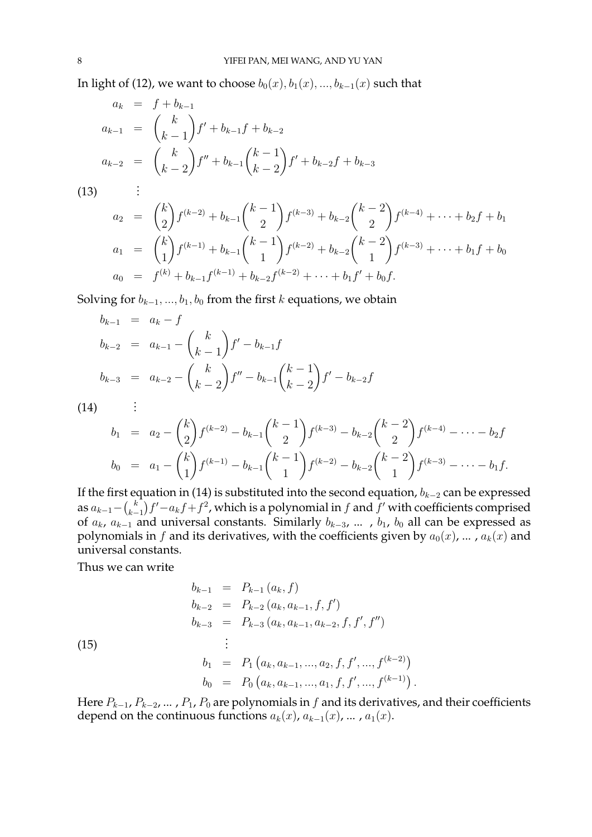In light of (12), we want to choose  $b_0(x)$ ,  $b_1(x)$ , ...,  $b_{k-1}(x)$  such that

$$
a_k = f + b_{k-1}
$$
  
\n
$$
a_{k-1} = {k \choose k-1} f' + b_{k-1} f + b_{k-2}
$$
  
\n
$$
a_{k-2} = {k \choose k-2} f'' + b_{k-1} {k-1 \choose k-2} f' + b_{k-2} f + b_{k-3}
$$
  
\n(13)   
\n
$$
a_2 = {k \choose 2} f^{(k-2)} + b_{k-1} {k-1 \choose 2} f^{(k-3)} + b_{k-2} {k-2 \choose 2} f^{(k-4)} + \dots + b_2 f + b_1
$$
  
\n
$$
a_1 = {k \choose 1} f^{(k-1)} + b_{k-1} {k-1 \choose 1} f^{(k-2)} + b_{k-2} {k-2 \choose 1} f^{(k-3)} + \dots + b_1 f + b_0
$$
  
\n
$$
a_0 = f^{(k)} + b_{k-1} f^{(k-1)} + b_{k-2} f^{(k-2)} + \dots + b_1 f' + b_0 f.
$$

Solving for  $b_{k-1},...,b_1,b_0$  from the first k equations, we obtain

$$
b_{k-1} = a_k - f
$$
  
\n
$$
b_{k-2} = a_{k-1} - {k \choose k-1} f' - b_{k-1} f
$$
  
\n
$$
b_{k-3} = a_{k-2} - {k \choose k-2} f'' - b_{k-1} {k-1 \choose k-2} f' - b_{k-2} f
$$
  
\n
$$
\vdots
$$

.(14)

$$
b_1 = a_2 - {k \choose 2} f^{(k-2)} - b_{k-1} {k-1 \choose 2} f^{(k-3)} - b_{k-2} {k-2 \choose 2} f^{(k-4)} - \dots - b_2 f
$$
  
\n
$$
b_0 = a_1 - {k \choose 1} f^{(k-1)} - b_{k-1} {k-1 \choose 1} f^{(k-2)} - b_{k-2} {k-2 \choose 1} f^{(k-3)} - \dots - b_1 f.
$$

If the first equation in (14) is substituted into the second equation,  $b_{k-2}$  can be expressed as  $a_{k-1} - {k \choose k-1}$  $\binom{k}{k-1}f'-a_kf+f^2$ , which is a polynomial in  $f$  and  $f'$  with coefficients comprised of  $a_k$ ,  $a_{k-1}$  and universal constants. Similarly  $b_{k-3}$ , ...,  $b_1$ ,  $b_0$  all can be expressed as polynomials in f and its derivatives, with the coefficients given by  $a_0(x)$ , ...,  $a_k(x)$  and universal constants.

Thus we can write

$$
b_{k-1} = P_{k-1}(a_k, f)
$$
  
\n
$$
b_{k-2} = P_{k-2}(a_k, a_{k-1}, f, f')
$$
  
\n
$$
b_{k-3} = P_{k-3}(a_k, a_{k-1}, a_{k-2}, f, f', f'')
$$
  
\n
$$
\vdots
$$

 $(15)$ 

$$
b_1 = P_1(a_k, a_{k-1}, ..., a_2, f, f', ..., f^{(k-2)})
$$
  
\n
$$
b_0 = P_0(a_k, a_{k-1}, ..., a_1, f, f', ..., f^{(k-1)}).
$$

Here  $P_{k-1}$ ,  $P_{k-2}$ , ...,  $P_1$ ,  $P_0$  are polynomials in f and its derivatives, and their coefficients depend on the continuous functions  $a_k(x)$ ,  $a_{k-1}(x)$ , ...,  $a_1(x)$ .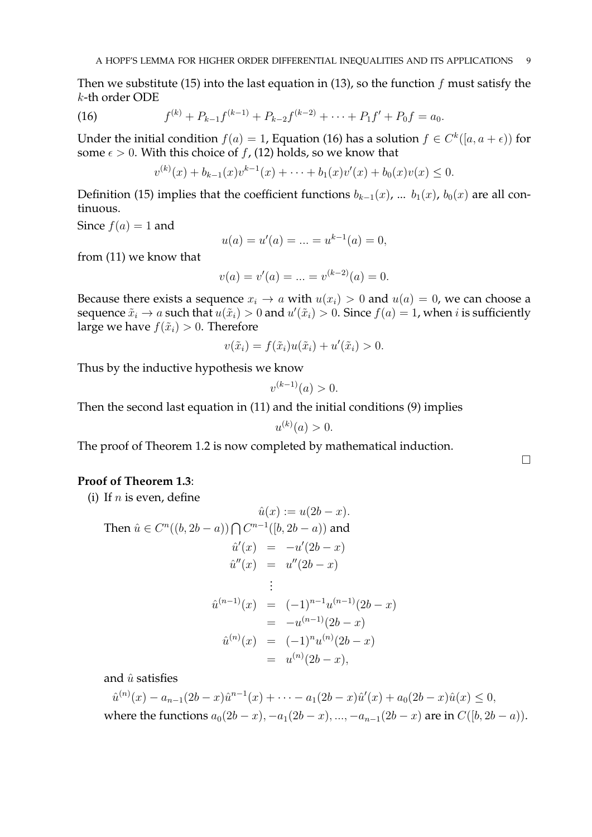Then we substitute (15) into the last equation in (13), so the function  $f$  must satisfy the k-th order ODE

(16) 
$$
f^{(k)} + P_{k-1}f^{(k-1)} + P_{k-2}f^{(k-2)} + \cdots + P_1f' + P_0f = a_0.
$$

Under the initial condition  $f(a) = 1$ , Equation (16) has a solution  $f \in C^k([a, a + \epsilon))$  for some  $\epsilon > 0$ . With this choice of f, (12) holds, so we know that

$$
v^{(k)}(x) + b_{k-1}(x)v^{k-1}(x) + \cdots + b_1(x)v'(x) + b_0(x)v(x) \le 0.
$$

Definition (15) implies that the coefficient functions  $b_{k-1}(x)$ , ...  $b_1(x)$ ,  $b_0(x)$  are all continuous.

Since  $f(a) = 1$  and

$$
u(a) = u'(a) = \dots = u^{k-1}(a) = 0,
$$

from (11) we know that

$$
v(a) = v'(a) = \dots = v^{(k-2)}(a) = 0.
$$

Because there exists a sequence  $x_i \rightarrow a$  with  $u(x_i) > 0$  and  $u(a) = 0$ , we can choose a sequence  $\tilde{x}_i \to a$  such that  $u(\tilde{x}_i) > 0$  and  $u'(\tilde{x}_i) > 0$ . Since  $f(a) = 1$ , when i is sufficiently large we have  $f(\tilde{x}_i) > 0$ . Therefore

$$
v(\tilde{x}_i) = f(\tilde{x}_i)u(\tilde{x}_i) + u'(\tilde{x}_i) > 0.
$$

Thus by the inductive hypothesis we know

$$
v^{(k-1)}(a) > 0.
$$

Then the second last equation in (11) and the initial conditions (9) implies

$$
u^{(k)}(a) > 0.
$$

The proof of Theorem 1.2 is now completed by mathematical induction.

## **Proof of Theorem 1.3**:

(i) If  $n$  is even, define

$$
\hat{u}(x) := u(2b - x).
$$
  
Then  $\hat{u} \in C^n((b, 2b - a)) \cap C^{n-1}([b, 2b - a))$  and  

$$
\hat{u}'(x) = -u'(2b - x)
$$

$$
\hat{u}''(x) = u''(2b - x)
$$

$$
\vdots
$$

$$
\hat{u}^{(n-1)}(x) = (-1)^{n-1}u^{(n-1)}(2b - x)
$$

$$
= -u^{(n-1)}(2b - x)
$$

$$
\hat{u}^{(n)}(x) = (-1)^n u^{(n)}(2b - x)
$$

$$
= u^{(n)}(2b - x),
$$

and  $\hat{u}$  satisfies

 $\hat{u}^{(n)}(x) - a_{n-1}(2b-x)\hat{u}^{n-1}(x) + \cdots - a_1(2b-x)\hat{u}'(x) + a_0(2b-x)\hat{u}(x) \leq 0,$ where the functions  $a_0(2b - x)$ ,  $-a_1(2b - x)$ , ...,  $-a_{n-1}(2b - x)$  are in  $C([b, 2b - a))$ .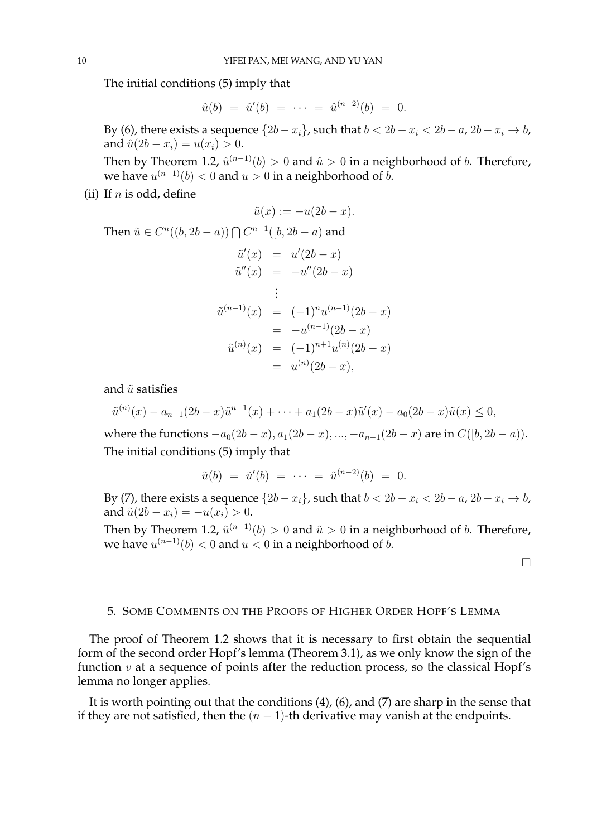The initial conditions (5) imply that

$$
\hat{u}(b) = \hat{u}'(b) = \cdots = \hat{u}^{(n-2)}(b) = 0.
$$

By (6), there exists a sequence  $\{2b - x_i\}$ , such that  $b < 2b - x_i < 2b - a$ ,  $2b - x_i \rightarrow b$ , and  $\hat{u}(2b - x_i) = u(x_i) > 0$ .

Then by Theorem 1.2,  $\hat{u}^{(n-1)}(b) > 0$  and  $\hat{u} > 0$  in a neighborhood of  $b$ . Therefore, we have  $u^{(n-1)}(b) < 0$  and  $u > 0$  in a neighborhood of  $b$ .

(ii) If  $n$  is odd, define

$$
\tilde{u}(x) := -u(2b - x).
$$
  
\nThen  $\tilde{u} \in C^n((b, 2b - a)) \cap C^{n-1}([b, 2b - a)$  and  
\n
$$
\tilde{u}'(x) = u'(2b - x)
$$
\n
$$
\tilde{u}''(x) = -u''(2b - x)
$$
\n
$$
\vdots
$$
\n
$$
\tilde{u}^{(n-1)}(x) = (-1)^n u^{(n-1)}(2b - x)
$$
\n
$$
= -u^{(n-1)}(2b - x)
$$
\n
$$
\tilde{u}^{(n)}(x) = (-1)^{n+1} u^{(n)}(2b - x)
$$
\n
$$
= u^{(n)}(2b - x),
$$

and  $\tilde{u}$  satisfies

$$
\tilde{u}^{(n)}(x) - a_{n-1}(2b-x)\tilde{u}^{n-1}(x) + \cdots + a_1(2b-x)\tilde{u}'(x) - a_0(2b-x)\tilde{u}(x) \le 0,
$$

where the functions  $-a_0(2b-x), a_1(2b-x), ..., -a_{n-1}(2b-x)$  are in  $C([b, 2b-a)).$ The initial conditions (5) imply that

$$
\tilde{u}(b) = \tilde{u}'(b) = \cdots = \tilde{u}^{(n-2)}(b) = 0.
$$

By (7), there exists a sequence  $\{2b - x_i\}$ , such that  $b < 2b - x_i < 2b - a$ ,  $2b - x_i \rightarrow b$ , and  $\tilde{u}(2b - x_i) = -u(x_i) > 0$ .

Then by Theorem 1.2,  $\tilde{u}^{(n-1)}(b) > 0$  and  $\tilde{u} > 0$  in a neighborhood of  $b$ . Therefore, we have  $u^{(n-1)}(b) < 0$  and  $u < 0$  in a neighborhood of  $b$ .

 $\Box$ 

## 5. SOME COMMENTS ON THE PROOFS OF HIGHER ORDER HOPF'S LEMMA

The proof of Theorem 1.2 shows that it is necessary to first obtain the sequential form of the second order Hopf's lemma (Theorem 3.1), as we only know the sign of the function  $v$  at a sequence of points after the reduction process, so the classical Hopf's lemma no longer applies.

It is worth pointing out that the conditions (4), (6), and (7) are sharp in the sense that if they are not satisfied, then the  $(n - 1)$ -th derivative may vanish at the endpoints.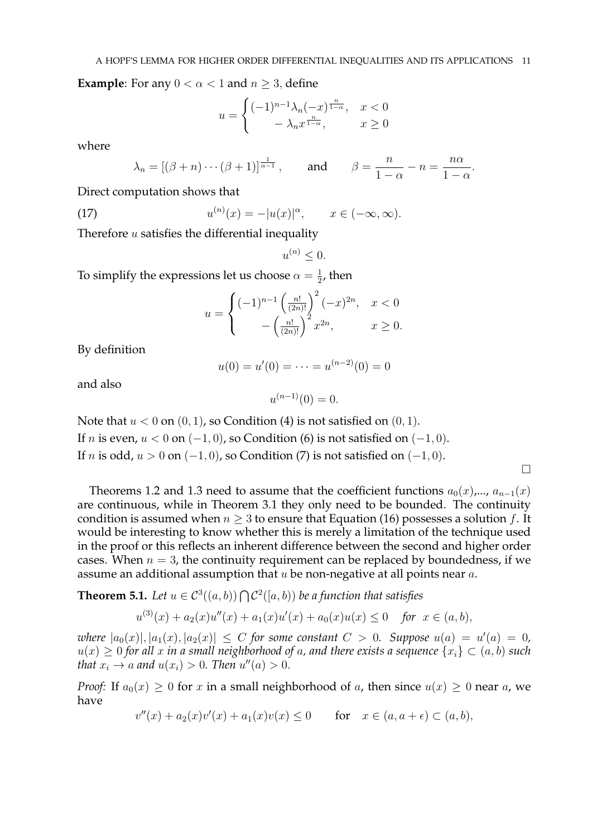**Example:** For any  $0 < \alpha < 1$  and  $n \geq 3$ , define

$$
u = \begin{cases} (-1)^{n-1} \lambda_n (-x)^{\frac{n}{1-\alpha}}, & x < 0\\ -\lambda_n x^{\frac{n}{1-\alpha}}, & x \ge 0 \end{cases}
$$

where

$$
\lambda_n = [(\beta + n) \cdots (\beta + 1)]^{\frac{1}{\alpha - 1}},
$$
 and  $\beta = \frac{n}{1 - \alpha} - n = \frac{n\alpha}{1 - \alpha}.$ 

Direct computation shows that

(17) 
$$
u^{(n)}(x) = -|u(x)|^{\alpha}, \qquad x \in (-\infty, \infty).
$$

Therefore  $u$  satisfies the differential inequality

 $u^{(n)} \leq 0.$ 

To simplify the expressions let us choose  $\alpha = \frac{1}{2}$  $\frac{1}{2}$ , then

$$
u = \begin{cases} (-1)^{n-1} \left(\frac{n!}{(2n)!}\right)^2 (-x)^{2n}, & x < 0\\ -\left(\frac{n!}{(2n)!}\right)^2 x^{2n}, & x \ge 0. \end{cases}
$$

By definition

$$
u(0) = u'(0) = \dots = u^{(n-2)}(0) = 0
$$

and also

$$
u^{(n-1)}(0) = 0.
$$

Note that  $u < 0$  on  $(0, 1)$ , so Condition (4) is not satisfied on  $(0, 1)$ . If *n* is even,  $u < 0$  on  $(-1, 0)$ , so Condition (6) is not satisfied on  $(-1, 0)$ . If *n* is odd,  $u > 0$  on  $(-1, 0)$ , so Condition (7) is not satisfied on  $(-1, 0)$ .

 $\Box$ 

Theorems 1.2 and 1.3 need to assume that the coefficient functions  $a_0(x),..., a_{n-1}(x)$ are continuous, while in Theorem 3.1 they only need to be bounded. The continuity condition is assumed when  $n \geq 3$  to ensure that Equation (16) possesses a solution f. It would be interesting to know whether this is merely a limitation of the technique used in the proof or this reflects an inherent difference between the second and higher order cases. When  $n = 3$ , the continuity requirement can be replaced by boundedness, if we assume an additional assumption that  $u$  be non-negative at all points near  $a$ .

**Theorem 5.1.** Let  $u \in C^3((a, b)) \bigcap C^2([a, b))$  be a function that satisfies

$$
u^{(3)}(x) + a_2(x)u''(x) + a_1(x)u'(x) + a_0(x)u(x) \le 0 \quad \text{for } x \in (a, b),
$$

*where*  $|a_0(x)|, |a_1(x), |a_2(x)| \le C$  *for some constant*  $C > 0$ *. Suppose*  $u(a) = u'(a) = 0$ *,*  $u(x) \geq 0$  for all x in a small neighborhood of a, and there exists a sequence  $\{x_i\} \subset (a, b)$  such *that*  $x_i \rightarrow a$  *and*  $u(x_i) > 0$ *. Then*  $u''(a) > 0$ *.* 

*Proof:* If  $a_0(x) \geq 0$  for x in a small neighborhood of a, then since  $u(x) \geq 0$  near a, we have

$$
v''(x) + a_2(x)v'(x) + a_1(x)v(x) \le 0 \quad \text{for} \quad x \in (a, a + \epsilon) \subset (a, b),
$$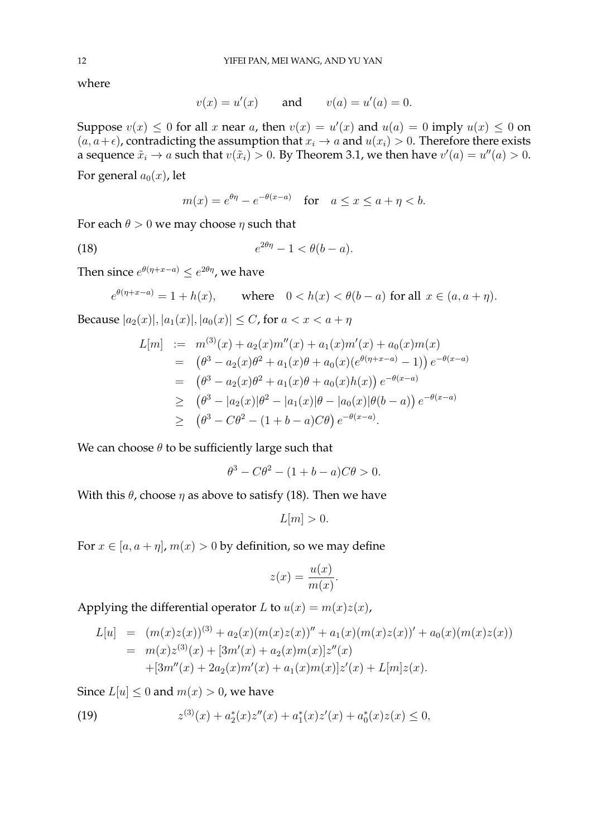where

$$
v(x) = u'(x)
$$
 and  $v(a) = u'(a) = 0$ .

Suppose  $v(x) \leq 0$  for all x near a, then  $v(x) = u'(x)$  and  $u(a) = 0$  imply  $u(x) \leq 0$  on  $(a, a+\epsilon)$ , contradicting the assumption that  $x_i \to a$  and  $u(x_i) > 0$ . Therefore there exists a sequence  $\tilde{x}_i \to a$  such that  $v(\tilde{x}_i) > 0$ . By Theorem 3.1, we then have  $v'(a) = u''(a) > 0$ .

For general  $a_0(x)$ , let

$$
m(x) = e^{\theta \eta} - e^{-\theta(x-a)} \quad \text{for} \quad a \le x \le a + \eta < b.
$$

For each  $\theta > 0$  we may choose  $\eta$  such that

$$
(18) \t\t e^{2\theta\eta} - 1 < \theta(b - a).
$$

Then since  $e^{\theta(\eta + x - a)} \leq e^{2\theta\eta}$ , we have

$$
e^{\theta(\eta + x - a)} = 1 + h(x), \qquad \text{where} \quad 0 < h(x) < \theta(b - a) \text{ for all } x \in (a, a + \eta).
$$

Because  $|a_2(x)|, |a_1(x)|, |a_0(x)| \le C$ , for  $a < x < a + \eta$ 

$$
L[m] := m^{(3)}(x) + a_2(x)m''(x) + a_1(x)m'(x) + a_0(x)m(x)
$$
  
=  $(\theta^3 - a_2(x)\theta^2 + a_1(x)\theta + a_0(x)(e^{\theta(\eta + x - a)} - 1)) e^{-\theta(x - a)}$   
=  $(\theta^3 - a_2(x)\theta^2 + a_1(x)\theta + a_0(x)h(x)) e^{-\theta(x - a)}$   
 $\geq (\theta^3 - |a_2(x)|\theta^2 - |a_1(x)|\theta - |a_0(x)|\theta(b - a)) e^{-\theta(x - a)}$   
 $\geq (\theta^3 - C\theta^2 - (1 + b - a)C\theta) e^{-\theta(x - a)}.$ 

We can choose  $\theta$  to be sufficiently large such that

$$
\theta^3 - C\theta^2 - (1 + b - a)C\theta > 0.
$$

With this  $\theta$ , choose  $\eta$  as above to satisfy (18). Then we have

$$
L[m] > 0.
$$

For  $x \in [a, a + \eta]$ ,  $m(x) > 0$  by definition, so we may define

$$
z(x) = \frac{u(x)}{m(x)}.
$$

Applying the differential operator L to  $u(x) = m(x)z(x)$ ,

$$
L[u] = (m(x)z(x))^{(3)} + a_2(x)(m(x)z(x))'' + a_1(x)(m(x)z(x))' + a_0(x)(m(x)z(x))
$$
  
=  $m(x)z^{(3)}(x) + [3m'(x) + a_2(x)m(x)]z''(x)$   
+  $[3m''(x) + 2a_2(x)m'(x) + a_1(x)m(x)]z'(x) + L[m]z(x).$ 

Since  $L[u] < 0$  and  $m(x) > 0$ , we have

(19) 
$$
z^{(3)}(x) + a_2^*(x)z''(x) + a_1^*(x)z'(x) + a_0^*(x)z(x) \le 0,
$$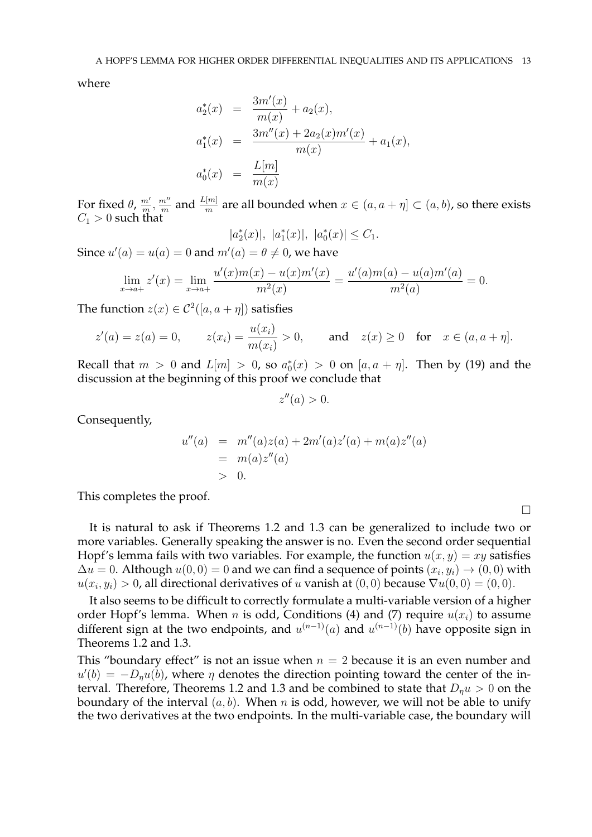where

$$
a_2^*(x) = \frac{3m'(x)}{m(x)} + a_2(x),
$$
  
\n
$$
a_1^*(x) = \frac{3m''(x) + 2a_2(x)m'(x)}{m(x)} + a_1(x),
$$
  
\n
$$
a_0^*(x) = \frac{L[m]}{m(x)}
$$

For fixed  $\theta$ ,  $\frac{m'}{m}$  $\frac{m'}{m}$ ,  $\frac{m''}{m}$  $\frac{n^{\prime\prime}}{m}$  and  $\frac{L[m]}{m}$  are all bounded when  $x\in (a,a+\eta]\subset (a,b)$ , so there exists  $C_1 > 0$  such that

 $|a_2^*(x)|, |a_1^*(x)|, |a_0^*(x)| \leq C_1.$ 

Since  $u'(a) = u(a) = 0$  and  $m'(a) = \theta \neq 0$ , we have

$$
\lim_{x \to a+} z'(x) = \lim_{x \to a+} \frac{u'(x)m(x) - u(x)m'(x)}{m^2(x)} = \frac{u'(a)m(a) - u(a)m'(a)}{m^2(a)} = 0.
$$

The function  $z(x) \in C^2([a, a + \eta])$  satisfies

$$
z'(a) = z(a) = 0
$$
,  $z(x_i) = \frac{u(x_i)}{m(x_i)} > 0$ , and  $z(x) \ge 0$  for  $x \in (a, a + \eta]$ .

Recall that  $m > 0$  and  $L[m] > 0$ , so  $a_0^*(x) > 0$  on  $[a, a + \eta]$ . Then by (19) and the discussion at the beginning of this proof we conclude that

$$
z''(a) > 0.
$$

Consequently,

$$
u''(a) = m''(a)z(a) + 2m'(a)z'(a) + m(a)z''(a)
$$
  
=  $m(a)z''(a)$   
> 0.

This completes the proof.

It is natural to ask if Theorems 1.2 and 1.3 can be generalized to include two or more variables. Generally speaking the answer is no. Even the second order sequential Hopf's lemma fails with two variables. For example, the function  $u(x, y) = xy$  satisfies  $\Delta u = 0$ . Although  $u(0,0) = 0$  and we can find a sequence of points  $(x_i, y_i) \rightarrow (0,0)$  with  $u(x_i, y_i) > 0$ , all directional derivatives of  $u$  vanish at  $(0, 0)$  because  $\nabla u(0, 0) = (0, 0)$ .

It also seems to be difficult to correctly formulate a multi-variable version of a higher order Hopf's lemma. When *n* is odd, Conditions (4) and (7) require  $u(x_i)$  to assume different sign at the two endpoints, and  $u^{(n-1)}(a)$  and  $u^{(n-1)}(b)$  have opposite sign in Theorems 1.2 and 1.3.

This "boundary effect" is not an issue when  $n = 2$  because it is an even number and  $u'(b) = -D_{\eta}u(b)$ , where  $\eta$  denotes the direction pointing toward the center of the interval. Therefore, Theorems 1.2 and 1.3 and be combined to state that  $D_n u > 0$  on the boundary of the interval  $(a, b)$ . When n is odd, however, we will not be able to unify the two derivatives at the two endpoints. In the multi-variable case, the boundary will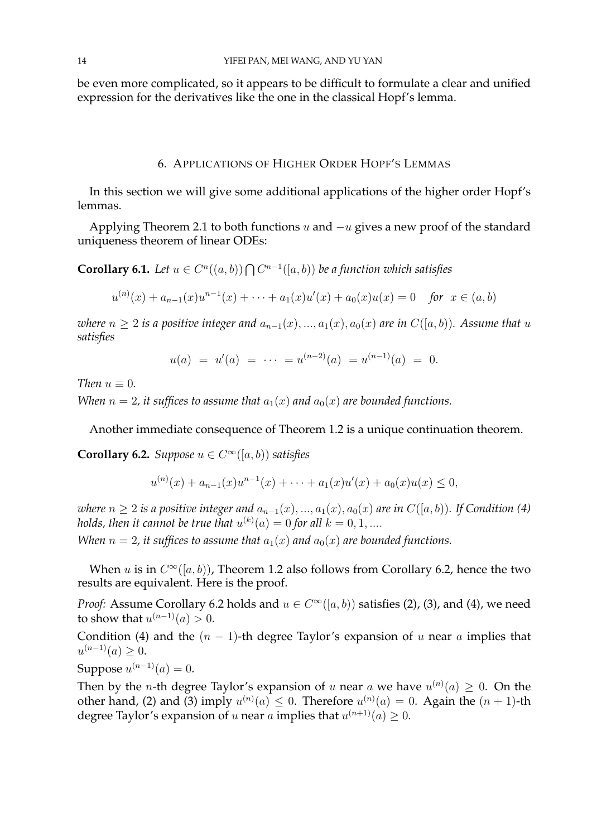be even more complicated, so it appears to be difficult to formulate a clear and unified expression for the derivatives like the one in the classical Hopf's lemma.

### 6. APPLICATIONS OF HIGHER ORDER HOPF'S LEMMAS

In this section we will give some additional applications of the higher order Hopf's lemmas.

Applying Theorem 2.1 to both functions  $u$  and  $-u$  gives a new proof of the standard uniqueness theorem of linear ODEs:

**Corollary 6.1.** Let  $u \in C^n((a, b)) \bigcap C^{n-1}([a, b))$  be a function which satisfies

$$
u^{(n)}(x) + a_{n-1}(x)u^{n-1}(x) + \cdots + a_1(x)u'(x) + a_0(x)u(x) = 0 \quad \text{for } x \in (a, b)
$$

*where*  $n \geq 2$  *is a positive integer and*  $a_{n-1}(x), ..., a_1(x), a_0(x)$  *are in*  $C([a, b))$ *. Assume that* u *satisfies*

$$
u(a) = u'(a) = \cdots = u^{(n-2)}(a) = u^{(n-1)}(a) = 0.
$$

*Then*  $u \equiv 0$ *.* 

*When*  $n = 2$ , it suffices to assume that  $a_1(x)$  and  $a_0(x)$  are bounded functions.

Another immediate consequence of Theorem 1.2 is a unique continuation theorem.

**Corollary 6.2.** *Suppose*  $u \in C^{\infty}([a, b))$  *satisfies* 

$$
u^{(n)}(x) + a_{n-1}(x)u^{n-1}(x) + \cdots + a_1(x)u'(x) + a_0(x)u(x) \le 0,
$$

*where*  $n \geq 2$  *is a positive integer and*  $a_{n-1}(x), ..., a_1(x), a_0(x)$  *are in*  $C([a, b))$ *. If Condition* (4) holds, then it cannot be true that  $u^{(k)}(a)=0$  for all  $k=0,1,....$ 

*When*  $n = 2$ , it suffices to assume that  $a_1(x)$  and  $a_0(x)$  are bounded functions.

When u is in  $C^{\infty}([a, b))$ , Theorem 1.2 also follows from Corollary 6.2, hence the two results are equivalent. Here is the proof.

*Proof:* Assume Corollary 6.2 holds and  $u \in C^{\infty}([a, b))$  satisfies (2), (3), and (4), we need to show that  $u^{(n-1)}(a) > 0$ .

Condition (4) and the  $(n - 1)$ -th degree Taylor's expansion of u near a implies that  $u^{(n-1)}(a) \geq 0.$ 

Suppose  $u^{(n-1)}(a) = 0$ .

Then by the *n*-th degree Taylor's expansion of u near a we have  $u^{(n)}(a) \geq 0$ . On the other hand, (2) and (3) imply  $u^{(n)}(a) \leq 0$ . Therefore  $u^{(n)}(a) = 0$ . Again the  $(n + 1)$ -th degree Taylor's expansion of  $u$  near  $a$  implies that  $u^{(n+1)}(a) \geq 0$ .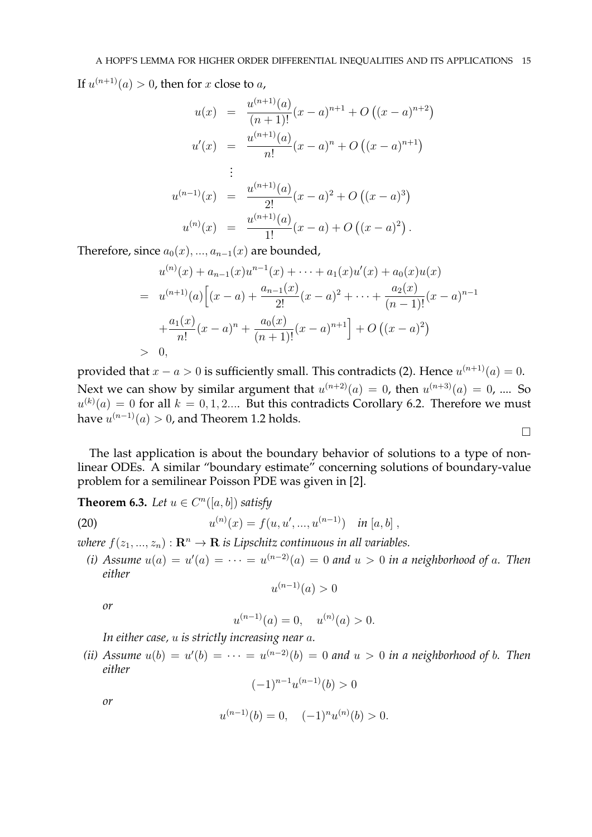If  $u^{(n+1)}(a) > 0$ , then for x close to a,

$$
u(x) = \frac{u^{(n+1)}(a)}{(n+1)!}(x-a)^{n+1} + O((x-a)^{n+2})
$$
  
\n
$$
u'(x) = \frac{u^{(n+1)}(a)}{n!}(x-a)^n + O((x-a)^{n+1})
$$
  
\n
$$
\vdots
$$
  
\n
$$
u^{(n-1)}(x) = \frac{u^{(n+1)}(a)}{2!}(x-a)^2 + O((x-a)^3)
$$
  
\n
$$
u^{(n)}(x) = \frac{u^{(n+1)}(a)}{1!}(x-a) + O((x-a)^2).
$$

Therefore, since  $a_0(x),..., a_{n-1}(x)$  are bounded,

$$
u^{(n)}(x) + a_{n-1}(x)u^{n-1}(x) + \dots + a_1(x)u'(x) + a_0(x)u(x)
$$
  
= 
$$
u^{(n+1)}(a)\Big[(x-a) + \frac{a_{n-1}(x)}{2!}(x-a)^2 + \dots + \frac{a_2(x)}{(n-1)!}(x-a)^{n-1} + \frac{a_1(x)}{n!}(x-a)^n + \frac{a_0(x)}{(n+1)!}(x-a)^{n+1}\Big] + O((x-a)^2)
$$
  
> 0,

provided that  $x - a > 0$  is sufficiently small. This contradicts (2). Hence  $u^{(n+1)}(a) = 0$ . Next we can show by similar argument that  $u^{(n+2)}(a) = 0$ , then  $u^{(n+3)}(a) = 0$ , .... So  $u^{(k)}(a) = 0$  for all  $k = 0, 1, 2...$  But this contradicts Corollary 6.2. Therefore we must have  $u^{(n-1)}(a)>0$ , and Theorem 1.2 holds.

 $\Box$ 

The last application is about the boundary behavior of solutions to a type of nonlinear ODEs. A similar "boundary estimate" concerning solutions of boundary-value problem for a semilinear Poisson PDE was given in [2].

**Theorem 6.3.** Let  $u \in C^n([a, b])$  satisfy

(20) 
$$
u^{(n)}(x) = f(u, u', ..., u^{(n-1)}) \quad \text{in } [a, b],
$$

*where*  $f(z_1, ..., z_n) : \mathbf{R}^n \to \mathbf{R}$  *is Lipschitz continuous in all variables.* 

(*i*) Assume  $u(a) = u'(a) = \cdots = u^{(n-2)}(a) = 0$  and  $u > 0$  in a neighborhood of a. Then *either*

$$
u^{(n-1)}(a) > 0
$$

*or*

$$
u^{(n-1)}(a) = 0, \quad u^{(n)}(a) > 0.
$$

*In either case,* u *is strictly increasing near* a*.*

(*ii*) Assume  $u(b) = u'(b) = \cdots = u^{(n-2)}(b) = 0$  and  $u > 0$  in a neighborhood of b. Then *either*

$$
(-1)^{n-1}u^{(n-1)}(b) > 0
$$

*or*

$$
u^{(n-1)}(b) = 0, \quad (-1)^n u^{(n)}(b) > 0.
$$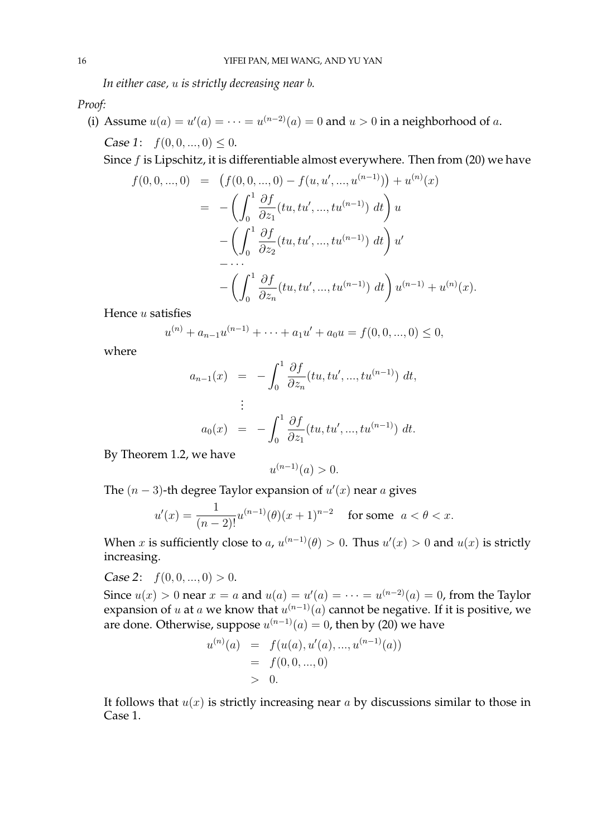*In either case,* u *is strictly decreasing near* b*.*

*Proof:*

(i) Assume  $u(a) = u'(a) = \cdots = u^{(n-2)}(a) = 0$  and  $u > 0$  in a neighborhood of a. Case 1:  $f(0, 0, ..., 0) \leq 0$ .

Since f is Lipschitz, it is differentiable almost everywhere. Then from (20) we have

$$
f(0,0,...,0) = (f(0,0,...,0) - f(u,u',...,u^{(n-1)})) + u^{(n)}(x)
$$
  
= 
$$
- \left( \int_0^1 \frac{\partial f}{\partial z_1} (tu, tu',...,tu^{(n-1)}) dt \right) u
$$
  

$$
- \left( \int_0^1 \frac{\partial f}{\partial z_2} (tu, tu',...,tu^{(n-1)}) dt \right) u'
$$
  

$$
- \cdots
$$
  

$$
- \left( \int_0^1 \frac{\partial f}{\partial z_n} (tu, tu',...,tu^{(n-1)}) dt \right) u^{(n-1)} + u^{(n)}(x).
$$

Hence u satisfies

$$
u^{(n)} + a_{n-1}u^{(n-1)} + \cdots + a_1u' + a_0u = f(0, 0, ..., 0) \le 0,
$$

where

$$
a_{n-1}(x) = -\int_0^1 \frac{\partial f}{\partial z_n}(tu, tu', ..., tu^{(n-1)}) dt,
$$
  
\n
$$
\vdots
$$
  
\n
$$
a_0(x) = -\int_0^1 \frac{\partial f}{\partial z_1}(tu, tu', ..., tu^{(n-1)}) dt.
$$

By Theorem 1.2, we have

$$
u^{(n-1)}(a) > 0.
$$

The  $(n-3)$ -th degree Taylor expansion of  $u'(x)$  near a gives

$$
u'(x) = \frac{1}{(n-2)!}u^{(n-1)}(\theta)(x+1)^{n-2} \quad \text{for some } \ a < \theta < x.
$$

When x is sufficiently close to a,  $u^{(n-1)}(\theta) > 0$ . Thus  $u'(x) > 0$  and  $u(x)$  is strictly increasing.

Case 2:  $f(0, 0, ..., 0) > 0$ .

Since  $u(x) > 0$  near  $x = a$  and  $u(a) = u'(a) = \cdots = u^{(n-2)}(a) = 0$ , from the Taylor expansion of  $u$  at  $a$  we know that  $u^{(n-1)}(a)$  cannot be negative. If it is positive, we are done. Otherwise, suppose  $u^{(n-1)}(a) = 0$ , then by (20) we have

$$
u^{(n)}(a) = f(u(a), u'(a), ..., u^{(n-1)}(a))
$$
  
= f(0, 0, ..., 0)  
> 0.

It follows that  $u(x)$  is strictly increasing near a by discussions similar to those in Case 1.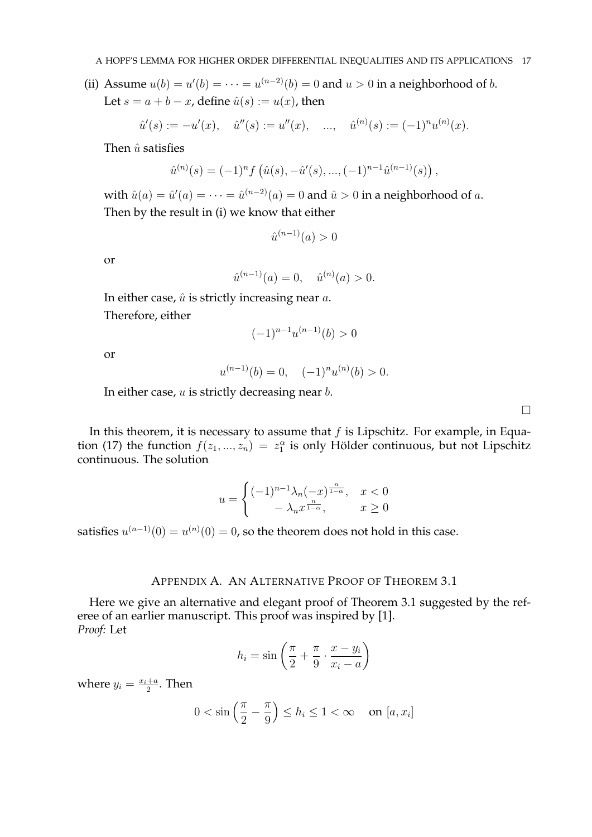(ii) Assume  $u(b) = u'(b) = \cdots = u^{(n-2)}(b) = 0$  and  $u > 0$  in a neighborhood of b. Let  $s = a + b - x$ , define  $\hat{u}(s) := u(x)$ , then

$$
\hat{u}'(s) := -u'(x), \quad \hat{u}''(s) := u''(x), \quad ..., \quad \hat{u}^{(n)}(s) := (-1)^n u^{(n)}(x).
$$

Then  $\hat{u}$  satisfies

$$
\hat{u}^{(n)}(s) = (-1)^n f\left(\hat{u}(s), -\hat{u}'(s), \dots, (-1)^{n-1} \hat{u}^{(n-1)}(s)\right),
$$

with  $\hat{u}(a) = \hat{u}'(a) = \cdots = \hat{u}^{(n-2)}(a) = 0$  and  $\hat{u} > 0$  in a neighborhood of  $a$ . Then by the result in (i) we know that either

$$
\hat{u}^{(n-1)}(a) > 0
$$

or

$$
\hat{u}^{(n-1)}(a) = 0, \quad \hat{u}^{(n)}(a) > 0.
$$

In either case,  $\hat{u}$  is strictly increasing near  $a$ . Therefore, either

$$
(-1)^{n-1}u^{(n-1)}(b) > 0
$$

or

$$
u^{(n-1)}(b) = 0, \quad (-1)^n u^{(n)}(b) > 0.
$$

In either case,  $u$  is strictly decreasing near  $b$ .

In this theorem, it is necessary to assume that  $f$  is Lipschitz. For example, in Equation (17) the function  $f(z_1, ..., z_n) = z_1^{\alpha}$  is only Hölder continuous, but not Lipschitz continuous. The solution

$$
u = \begin{cases} (-1)^{n-1} \lambda_n (-x)^{\frac{n}{1-\alpha}}, & x < 0\\ -\lambda_n x^{\frac{n}{1-\alpha}}, & x \ge 0 \end{cases}
$$

satisfies  $u^{(n-1)}(0) = u^{(n)}(0) = 0$ , so the theorem does not hold in this case.

# APPENDIX A. AN ALTERNATIVE PROOF OF THEOREM 3.1

Here we give an alternative and elegant proof of Theorem 3.1 suggested by the referee of an earlier manuscript. This proof was inspired by [1]. *Proof:* Let

$$
h_i = \sin\left(\frac{\pi}{2} + \frac{\pi}{9} \cdot \frac{x - y_i}{x_i - a}\right)
$$

where  $y_i = \frac{x_i+a}{2}$  $\frac{+a}{2}$ . Then

$$
0 < \sin\left(\frac{\pi}{2} - \frac{\pi}{9}\right) \le h_i \le 1 < \infty \quad \text{on } [a, x_i]
$$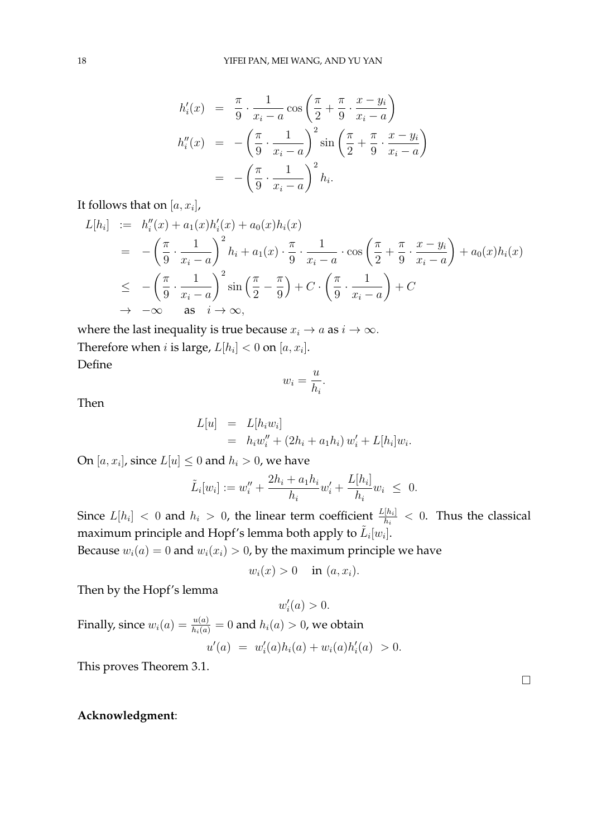$$
h'_i(x) = \frac{\pi}{9} \cdot \frac{1}{x_i - a} \cos\left(\frac{\pi}{2} + \frac{\pi}{9} \cdot \frac{x - y_i}{x_i - a}\right)
$$
  

$$
h''_i(x) = -\left(\frac{\pi}{9} \cdot \frac{1}{x_i - a}\right)^2 \sin\left(\frac{\pi}{2} + \frac{\pi}{9} \cdot \frac{x - y_i}{x_i - a}\right)
$$
  

$$
= -\left(\frac{\pi}{9} \cdot \frac{1}{x_i - a}\right)^2 h_i.
$$

It follows that on  $[a,x_i]$ ,

$$
L[h_i] := h_i''(x) + a_1(x)h_i'(x) + a_0(x)h_i(x)
$$
  
\n
$$
= -\left(\frac{\pi}{9} \cdot \frac{1}{x_i - a}\right)^2 h_i + a_1(x) \cdot \frac{\pi}{9} \cdot \frac{1}{x_i - a} \cdot \cos\left(\frac{\pi}{2} + \frac{\pi}{9} \cdot \frac{x - y_i}{x_i - a}\right) + a_0(x)h_i(x)
$$
  
\n
$$
\leq -\left(\frac{\pi}{9} \cdot \frac{1}{x_i - a}\right)^2 \sin\left(\frac{\pi}{2} - \frac{\pi}{9}\right) + C \cdot \left(\frac{\pi}{9} \cdot \frac{1}{x_i - a}\right) + C
$$
  
\n
$$
\to -\infty \quad \text{as} \quad i \to \infty,
$$

where the last inequality is true because  $x_i \rightarrow a$  as  $i \rightarrow \infty$ . Therefore when *i* is large,  $L[h_i] < 0$  on  $[a, x_i]$ . Define

$$
w_i = \frac{u}{h_i}.
$$

Then

$$
L[u] = L[h_i w_i]
$$
  
=  $h_i w''_i + (2h_i + a_1 h_i) w'_i + L[h_i] w_i.$ 

On  $[a, x_i]$ , since  $L[u] \leq 0$  and  $h_i > 0$ , we have

$$
\tilde{L}_i[w_i] := w''_i + \frac{2h_i + a_1h_i}{h_i}w'_i + \frac{L[h_i]}{h_i}w_i \leq 0.
$$

Since  $L[h_i] < 0$  and  $h_i > 0$ , the linear term coefficient  $\frac{L[h_i]}{h_i} < 0$ . Thus the classical maximum principle and Hopf's lemma both apply to  $\tilde{L}_i[w_i].$ 

Because  $w_i(a) = 0$  and  $w_i(x_i) > 0$ , by the maximum principle we have

$$
w_i(x) > 0 \quad \text{in } (a, x_i).
$$

Then by the Hopf's lemma

$$
w_i'(a) > 0.
$$

Finally, since 
$$
w_i(a) = \frac{u(a)}{h_i(a)} = 0
$$
 and  $h_i(a) > 0$ , we obtain  
\n
$$
u'(a) = w'_i(a)h_i(a) + w_i(a)h'_i(a) > 0.
$$

This proves Theorem 3.1.

### **Acknowledgment**: